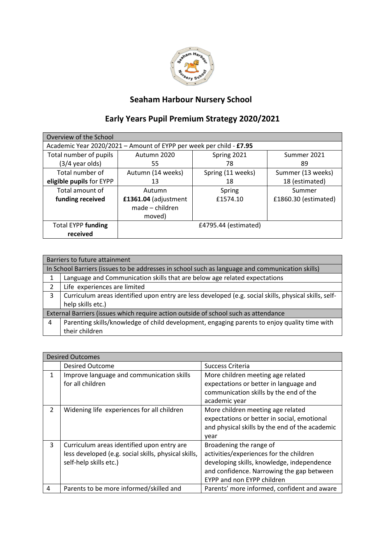

## **Seaham Harbour Nursery School**

## **Early Years Pupil Premium Strategy 2020/2021**

| Overview of the School                                              |                      |                   |                      |  |
|---------------------------------------------------------------------|----------------------|-------------------|----------------------|--|
| Academic Year 2020/2021 - Amount of EYPP per week per child - £7.95 |                      |                   |                      |  |
| Total number of pupils                                              | Autumn 2020          | Spring 2021       | Summer 2021          |  |
| $(3/4$ year olds)                                                   | 55                   | 78                | 89                   |  |
| Total number of                                                     | Autumn (14 weeks)    | Spring (11 weeks) | Summer (13 weeks)    |  |
| eligible pupils for EYPP                                            | 13                   | 18                | 18 (estimated)       |  |
| Total amount of                                                     | Autumn               | Spring            | Summer               |  |
| funding received                                                    | £1361.04 (adjustment | £1574.10          | £1860.30 (estimated) |  |
|                                                                     | made - children      |                   |                      |  |
|                                                                     | moved)               |                   |                      |  |
| <b>Total EYPP funding</b>                                           | £4795.44 (estimated) |                   |                      |  |
| received                                                            |                      |                   |                      |  |

|                                                                                     | Barriers to future attainment                                                                         |  |
|-------------------------------------------------------------------------------------|-------------------------------------------------------------------------------------------------------|--|
|                                                                                     | In School Barriers (issues to be addresses in school such as language and communication skills)       |  |
|                                                                                     | Language and Communication skills that are below age related expectations                             |  |
| $\mathcal{P}$                                                                       | Life experiences are limited                                                                          |  |
| 3                                                                                   | Curriculum areas identified upon entry are less developed (e.g. social skills, physical skills, self- |  |
|                                                                                     | help skills etc.)                                                                                     |  |
| External Barriers (issues which require action outside of school such as attendance |                                                                                                       |  |
| 4                                                                                   | Parenting skills/knowledge of child development, engaging parents to enjoy quality time with          |  |
|                                                                                     | their children                                                                                        |  |

|                | <b>Desired Outcomes</b>                                                                                                      |                                                                                                                                                                                             |  |  |
|----------------|------------------------------------------------------------------------------------------------------------------------------|---------------------------------------------------------------------------------------------------------------------------------------------------------------------------------------------|--|--|
|                | <b>Desired Outcome</b>                                                                                                       | Success Criteria                                                                                                                                                                            |  |  |
| 1              | Improve language and communication skills<br>for all children                                                                | More children meeting age related<br>expectations or better in language and<br>communication skills by the end of the<br>academic year                                                      |  |  |
| $\overline{2}$ | Widening life experiences for all children                                                                                   | More children meeting age related<br>expectations or better in social, emotional<br>and physical skills by the end of the academic<br>year                                                  |  |  |
| 3              | Curriculum areas identified upon entry are<br>less developed (e.g. social skills, physical skills,<br>self-help skills etc.) | Broadening the range of<br>activities/experiences for the children<br>developing skills, knowledge, independence<br>and confidence. Narrowing the gap between<br>EYPP and non EYPP children |  |  |
| $\overline{4}$ | Parents to be more informed/skilled and                                                                                      | Parents' more informed, confident and aware                                                                                                                                                 |  |  |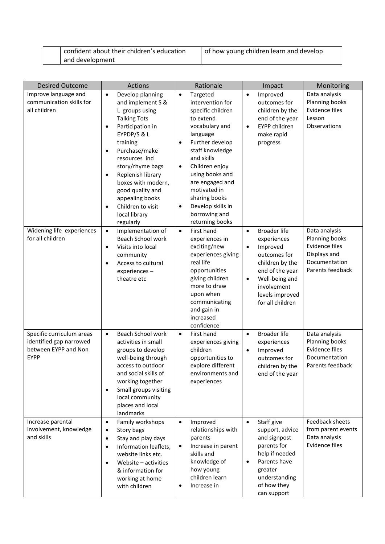| confident about their children's education |
|--------------------------------------------|
| and development                            |

| <b>Desired Outcome</b>                                                                        | Actions                                                                                                                                                                                                                                                                                                                                                                                                      | Rationale                                                                                                                                                                                                                                                                                                                                                                         | Impact                                                                                                                                                                             | Monitoring                                                                                    |
|-----------------------------------------------------------------------------------------------|--------------------------------------------------------------------------------------------------------------------------------------------------------------------------------------------------------------------------------------------------------------------------------------------------------------------------------------------------------------------------------------------------------------|-----------------------------------------------------------------------------------------------------------------------------------------------------------------------------------------------------------------------------------------------------------------------------------------------------------------------------------------------------------------------------------|------------------------------------------------------------------------------------------------------------------------------------------------------------------------------------|-----------------------------------------------------------------------------------------------|
| Improve language and<br>communication skills for<br>all children<br>Widening life experiences | Develop planning<br>$\bullet$<br>and implement S &<br>L groups using<br><b>Talking Tots</b><br>Participation in<br>٠<br>EYPDP/S & L<br>training<br>Purchase/make<br>$\bullet$<br>resources incl<br>story/rhyme bags<br>Replenish library<br>$\bullet$<br>boxes with modern,<br>good quality and<br>appealing books<br>Children to visit<br>٠<br>local library<br>regularly<br>Implementation of<br>$\bullet$ | Targeted<br>$\bullet$<br>intervention for<br>specific children<br>to extend<br>vocabulary and<br>language<br>Further develop<br>$\bullet$<br>staff knowledge<br>and skills<br>Children enjoy<br>$\bullet$<br>using books and<br>are engaged and<br>motivated in<br>sharing books<br>Develop skills in<br>$\bullet$<br>borrowing and<br>returning books<br>First hand<br>$\bullet$ | Improved<br>$\bullet$<br>outcomes for<br>children by the<br>end of the year<br>EYPP children<br>$\bullet$<br>make rapid<br>progress<br><b>Broader life</b><br>$\bullet$            | Data analysis<br>Planning books<br>Evidence files<br>Lesson<br>Observations<br>Data analysis  |
| for all children                                                                              | Beach School work<br>Visits into local<br>$\bullet$<br>community<br>Access to cultural<br>$\bullet$<br>experiences-<br>theatre etc                                                                                                                                                                                                                                                                           | experiences in<br>exciting/new<br>experiences giving<br>real life<br>opportunities<br>giving children<br>more to draw<br>upon when<br>communicating<br>and gain in<br>increased<br>confidence                                                                                                                                                                                     | experiences<br>Improved<br>$\bullet$<br>outcomes for<br>children by the<br>end of the year<br>Well-being and<br>$\bullet$<br>involvement<br>levels improved<br>for all children    | Planning books<br><b>Evidence files</b><br>Displays and<br>Documentation<br>Parents feedback  |
| Specific curriculum areas<br>identified gap narrowed<br>between EYPP and Non<br><b>EYPP</b>   | Beach School work<br>$\bullet$<br>activities in small<br>groups to develop<br>well-being through<br>access to outdoor<br>and social skills of<br>working together<br>Small groups visiting<br>$\bullet$<br>local community<br>places and local<br>landmarks                                                                                                                                                  | First hand<br>$\bullet$<br>experiences giving<br>children<br>opportunities to<br>explore different<br>environments and<br>experiences                                                                                                                                                                                                                                             | <b>Broader life</b><br>$\bullet$<br>experiences<br>Improved<br>$\bullet$<br>outcomes for<br>children by the<br>end of the year                                                     | Data analysis<br>Planning books<br><b>Evidence files</b><br>Documentation<br>Parents feedback |
| Increase parental<br>involvement, knowledge<br>and skills                                     | Family workshops<br>$\bullet$<br>Story bags<br>$\bullet$<br>Stay and play days<br>$\bullet$<br>Information leaflets,<br>$\bullet$<br>website links etc.<br>Website - activities<br>٠<br>& information for<br>working at home<br>with children                                                                                                                                                                | Improved<br>$\bullet$<br>relationships with<br>parents<br>Increase in parent<br>$\bullet$<br>skills and<br>knowledge of<br>how young<br>children learn<br>Increase in<br>$\bullet$                                                                                                                                                                                                | Staff give<br>$\bullet$<br>support, advice<br>and signpost<br>parents for<br>help if needed<br>Parents have<br>$\bullet$<br>greater<br>understanding<br>of how they<br>can support | Feedback sheets<br>from parent events<br>Data analysis<br>Evidence files                      |